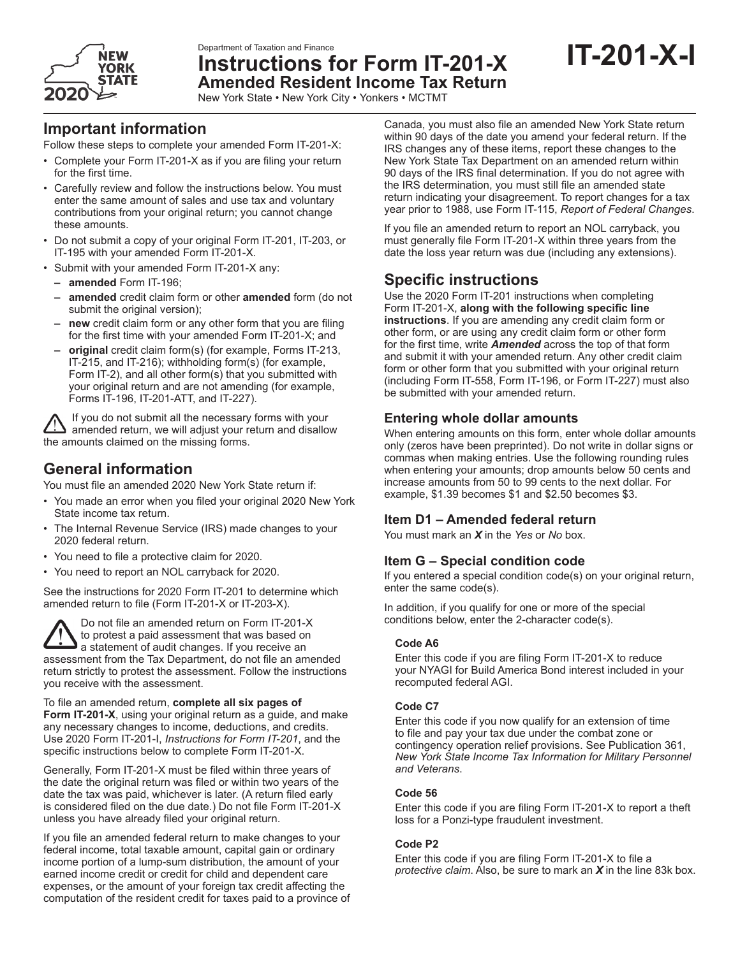

Department of Taxation and Finance

**Instructions for Form IT-201-X Amended Resident Income Tax Return**

New York State • New York City • Yonkers • MCTMT

# **Important information**

Follow these steps to complete your amended Form IT-201-X:

- Complete your Form IT-201-X as if you are filing your return for the first time.
- Carefully review and follow the instructions below. You must enter the same amount of sales and use tax and voluntary contributions from your original return; you cannot change these amounts.
- Do not submit a copy of your original Form IT-201, IT-203, or IT-195 with your amended Form IT-201-X.
- Submit with your amended Form IT-201-X any:
	- **– amended** Form IT-196;
	- **– amended** credit claim form or other **amended** form (do not submit the original version);
	- **– new** credit claim form or any other form that you are filing for the first time with your amended Form IT-201-X; and
	- **– original** credit claim form(s) (for example, Forms IT-213, IT-215, and IT-216); withholding form(s) (for example, Form IT-2), and all other form(s) that you submitted with your original return and are not amending (for example, Forms IT-196, IT-201-ATT, and IT-227).

If you do not submit all the necessary forms with your amended return, we will adjust your return and disallow the amounts claimed on the missing forms.

# **General information**

You must file an amended 2020 New York State return if:

- You made an error when you filed your original 2020 New York State income tax return.
- The Internal Revenue Service (IRS) made changes to your 2020 federal return.
- You need to file a protective claim for 2020.
- You need to report an NOL carryback for 2020.

See the instructions for 2020 Form IT-201 to determine which amended return to file (Form IT-201-X or IT-203-X).

Do not file an amended return on Form IT-201-X to protest a paid assessment that was based on a statement of audit changes. If you receive an assessment from the Tax Department, do not file an amended return strictly to protest the assessment. Follow the instructions you receive with the assessment.

To file an amended return, **complete all six pages of Form IT-201-X**, using your original return as a guide, and make any necessary changes to income, deductions, and credits. Use 2020 Form IT-201-I, *Instructions for Form IT-201*, and the specific instructions below to complete Form IT-201-X.

Generally, Form IT-201-X must be filed within three years of the date the original return was filed or within two years of the date the tax was paid, whichever is later. (A return filed early is considered filed on the due date.) Do not file Form IT-201-X unless you have already filed your original return.

If you file an amended federal return to make changes to your federal income, total taxable amount, capital gain or ordinary income portion of a lump-sum distribution, the amount of your earned income credit or credit for child and dependent care expenses, or the amount of your foreign tax credit affecting the computation of the resident credit for taxes paid to a province of Canada, you must also file an amended New York State return within 90 days of the date you amend your federal return. If the IRS changes any of these items, report these changes to the New York State Tax Department on an amended return within 90 days of the IRS final determination. If you do not agree with the IRS determination, you must still file an amended state return indicating your disagreement. To report changes for a tax year prior to 1988, use Form IT-115, *Report of Federal Changes*.

**IT-201-X-I**

If you file an amended return to report an NOL carryback, you must generally file Form IT-201-X within three years from the date the loss year return was due (including any extensions).

# **Specific instructions**

Use the 2020 Form IT-201 instructions when completing Form IT-201-X, **along with the following specific line instructions**. If you are amending any credit claim form or other form, or are using any credit claim form or other form for the first time, write *Amended* across the top of that form and submit it with your amended return. Any other credit claim form or other form that you submitted with your original return (including Form IT-558, Form IT-196, or Form IT-227) must also be submitted with your amended return.

# **Entering whole dollar amounts**

When entering amounts on this form, enter whole dollar amounts only (zeros have been preprinted). Do not write in dollar signs or commas when making entries. Use the following rounding rules when entering your amounts; drop amounts below 50 cents and increase amounts from 50 to 99 cents to the next dollar. For example, \$1.39 becomes \$1 and \$2.50 becomes \$3.

# **Item D1 – Amended federal return**

You must mark an *X* in the *Yes* or *No* box.

# **Item G – Special condition code**

If you entered a special condition code(s) on your original return, enter the same code(s).

In addition, if you qualify for one or more of the special conditions below, enter the 2-character code(s).

# **Code A6**

Enter this code if you are filing Form IT-201-X to reduce your NYAGI for Build America Bond interest included in your recomputed federal AGI.

# **Code C7**

Enter this code if you now qualify for an extension of time to file and pay your tax due under the combat zone or contingency operation relief provisions. See Publication 361, *New York State Income Tax Information for Military Personnel and Veterans*.

# **Code 56**

Enter this code if you are filing Form IT-201-X to report a theft loss for a Ponzi-type fraudulent investment.

# **Code P2**

Enter this code if you are filing Form IT-201-X to file a *protective claim*. Also, be sure to mark an *X* in the line 83k box.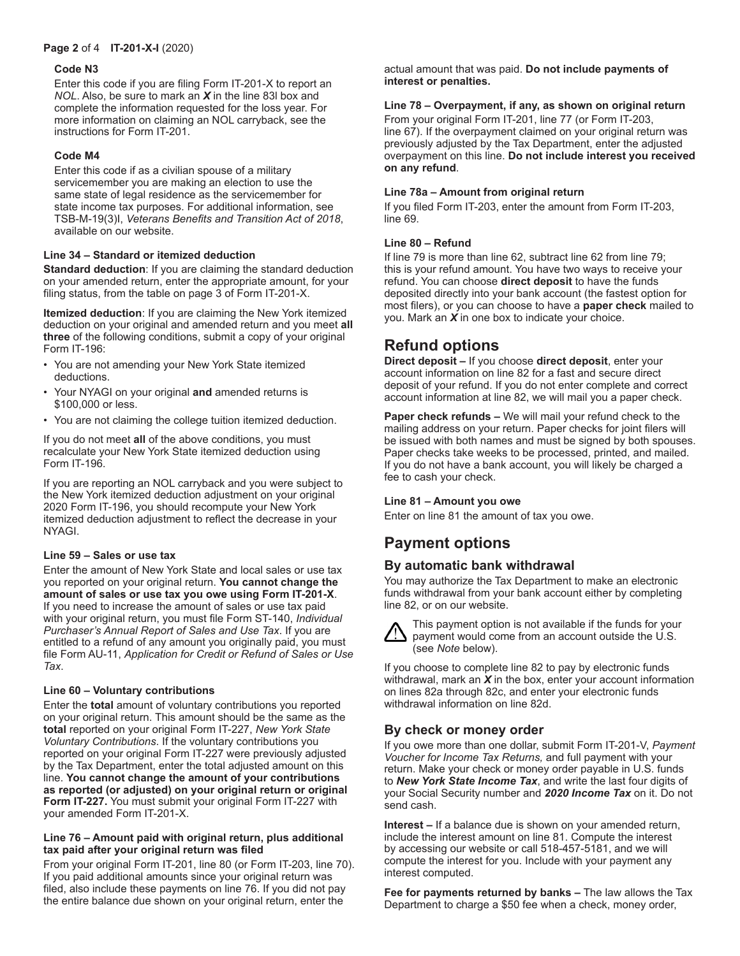## **Page 2** of 4 **IT-201-X-I** (2020)

### **Code N3**

Enter this code if you are filing Form IT-201-X to report an *NOL*. Also, be sure to mark an *X* in the line 83l box and complete the information requested for the loss year. For more information on claiming an NOL carryback, see the instructions for Form IT-201.

## **Code M4**

Enter this code if as a civilian spouse of a military servicemember you are making an election to use the same state of legal residence as the servicemember for state income tax purposes. For additional information, see TSB-M-19(3)I, *Veterans Benefits and Transition Act of 2018*, available on our website.

## **Line 34 – Standard or itemized deduction**

**Standard deduction**: If you are claiming the standard deduction on your amended return, enter the appropriate amount, for your filing status, from the table on page 3 of Form IT-201-X.

**Itemized deduction**: If you are claiming the New York itemized deduction on your original and amended return and you meet **all three** of the following conditions, submit a copy of your original Form IT-196:

- You are not amending your New York State itemized deductions.
- Your NYAGI on your original **and** amended returns is \$100,000 or less.
- You are not claiming the college tuition itemized deduction.

If you do not meet **all** of the above conditions, you must recalculate your New York State itemized deduction using Form IT-196.

If you are reporting an NOL carryback and you were subject to the New York itemized deduction adjustment on your original 2020 Form IT-196, you should recompute your New York itemized deduction adjustment to reflect the decrease in your NYAGI.

### **Line 59 – Sales or use tax**

Enter the amount of New York State and local sales or use tax you reported on your original return. **You cannot change the amount of sales or use tax you owe using Form IT-201-X**. If you need to increase the amount of sales or use tax paid with your original return, you must file Form ST-140, *Individual Purchaser's Annual Report of Sales and Use Tax*. If you are entitled to a refund of any amount you originally paid, you must file Form AU-11, *Application for Credit or Refund of Sales or Use Tax*.

### **Line 60 – Voluntary contributions**

Enter the **total** amount of voluntary contributions you reported on your original return. This amount should be the same as the **total** reported on your original Form IT-227, *New York State Voluntary Contributions*. If the voluntary contributions you reported on your original Form IT-227 were previously adjusted by the Tax Department, enter the total adjusted amount on this line. **You cannot change the amount of your contributions as reported (or adjusted) on your original return or original Form IT-227.** You must submit your original Form IT-227 with your amended Form IT-201-X.

### **Line 76 – Amount paid with original return, plus additional tax paid after your original return was filed**

From your original Form IT-201, line 80 (or Form IT-203, line 70). If you paid additional amounts since your original return was filed, also include these payments on line 76. If you did not pay the entire balance due shown on your original return, enter the

actual amount that was paid. **Do not include payments of interest or penalties.**

### **Line 78 – Overpayment, if any, as shown on original return**

From your original Form IT-201, line 77 (or Form IT-203, line 67). If the overpayment claimed on your original return was previously adjusted by the Tax Department, enter the adjusted overpayment on this line. **Do not include interest you received on any refund**.

### **Line 78a – Amount from original return**

If you filed Form IT-203, enter the amount from Form IT-203, line 69.

## **Line 80 – Refund**

If line 79 is more than line 62, subtract line 62 from line 79; this is your refund amount. You have two ways to receive your refund. You can choose **direct deposit** to have the funds deposited directly into your bank account (the fastest option for most filers), or you can choose to have a **paper check** mailed to you. Mark an *X* in one box to indicate your choice.

# **Refund options**

**Direct deposit –** If you choose **direct deposit**, enter your account information on line 82 for a fast and secure direct deposit of your refund. If you do not enter complete and correct account information at line 82, we will mail you a paper check.

**Paper check refunds –** We will mail your refund check to the mailing address on your return. Paper checks for joint filers will be issued with both names and must be signed by both spouses. Paper checks take weeks to be processed, printed, and mailed. If you do not have a bank account, you will likely be charged a fee to cash your check.

# **Line 81 – Amount you owe**

Enter on line 81 the amount of tax you owe.

# **Payment options**

# **By automatic bank withdrawal**

You may authorize the Tax Department to make an electronic funds withdrawal from your bank account either by completing line 82, or on our website.



This payment option is not available if the funds for your payment would come from an account outside the U.S. (see *Note* below).

If you choose to complete line 82 to pay by electronic funds withdrawal, mark an *X* in the box, enter your account information on lines 82a through 82c, and enter your electronic funds withdrawal information on line 82d.

# **By check or money order**

If you owe more than one dollar, submit Form IT-201-V, *Payment Voucher for Income Tax Returns,* and full payment with your return. Make your check or money order payable in U.S. funds to *New York State Income Tax*, and write the last four digits of your Social Security number and *2020 Income Tax* on it. Do not send cash.

**Interest –** If a balance due is shown on your amended return, include the interest amount on line 81. Compute the interest by accessing our website or call 518-457-5181, and we will compute the interest for you. Include with your payment any interest computed.

**Fee for payments returned by banks –** The law allows the Tax Department to charge a \$50 fee when a check, money order,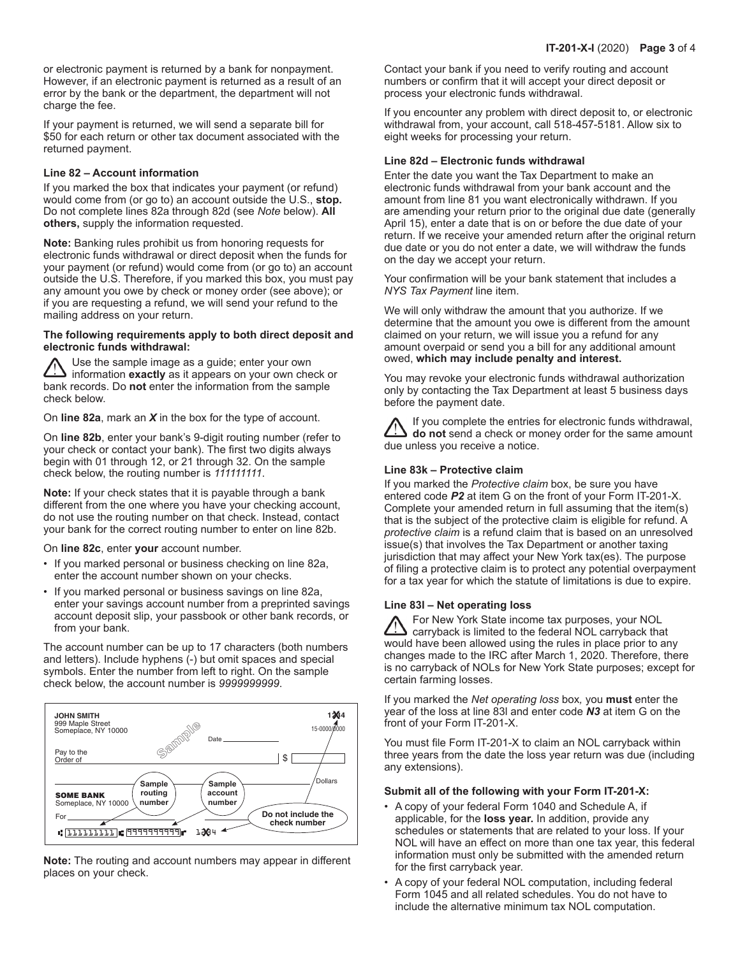or electronic payment is returned by a bank for nonpayment. However, if an electronic payment is returned as a result of an error by the bank or the department, the department will not charge the fee.

If your payment is returned, we will send a separate bill for \$50 for each return or other tax document associated with the returned payment.

### **Line 82 – Account information**

If you marked the box that indicates your payment (or refund) would come from (or go to) an account outside the U.S., **stop.** Do not complete lines 82a through 82d (see *Note* below). **All others,** supply the information requested.

**Note:** Banking rules prohibit us from honoring requests for electronic funds withdrawal or direct deposit when the funds for your payment (or refund) would come from (or go to) an account outside the U.S. Therefore, if you marked this box, you must pay any amount you owe by check or money order (see above); or if you are requesting a refund, we will send your refund to the mailing address on your return.

#### **The following requirements apply to both direct deposit and electronic funds withdrawal:**

Use the sample image as a guide; enter your own information **exactly** as it appears on your own check or bank records. Do **not** enter the information from the sample check below.

On **line 82a**, mark an *X* in the box for the type of account.

On **line 82b**, enter your bank's 9‑digit routing number (refer to your check or contact your bank). The first two digits always begin with 01 through 12, or 21 through 32. On the sample check below, the routing number is *111111111*.

**Note:** If your check states that it is payable through a bank different from the one where you have your checking account, do not use the routing number on that check. Instead, contact your bank for the correct routing number to enter on line 82b.

On **line 82c**, enter **your** account number.

- If you marked personal or business checking on line 82a, enter the account number shown on your checks.
- If you marked personal or business savings on line 82a, enter your savings account number from a preprinted savings account deposit slip, your passbook or other bank records, or from your bank.

The account number can be up to 17 characters (both numbers and letters). Include hyphens (-) but omit spaces and special symbols. Enter the number from left to right. On the sample check below, the account number is *9999999999*.



**Note:** The routing and account numbers may appear in different places on your check.

Contact your bank if you need to verify routing and account numbers or confirm that it will accept your direct deposit or process your electronic funds withdrawal.

If you encounter any problem with direct deposit to, or electronic withdrawal from, your account, call 518-457-5181. Allow six to eight weeks for processing your return.

#### **Line 82d – Electronic funds withdrawal**

Enter the date you want the Tax Department to make an electronic funds withdrawal from your bank account and the amount from line 81 you want electronically withdrawn. If you are amending your return prior to the original due date (generally April 15), enter a date that is on or before the due date of your return. If we receive your amended return after the original return due date or you do not enter a date, we will withdraw the funds on the day we accept your return.

Your confirmation will be your bank statement that includes a *NYS Tax Payment* line item.

We will only withdraw the amount that you authorize. If we determine that the amount you owe is different from the amount claimed on your return, we will issue you a refund for any amount overpaid or send you a bill for any additional amount owed, **which may include penalty and interest.**

You may revoke your electronic funds withdrawal authorization only by contacting the Tax Department at least 5 business days before the payment date.

If you complete the entries for electronic funds withdrawal, **do not** send a check or money order for the same amount due unless you receive a notice.

### **Line 83k – Protective claim**

If you marked the *Protective claim* box, be sure you have entered code *P2* at item G on the front of your Form IT-201-X. Complete your amended return in full assuming that the item(s) that is the subject of the protective claim is eligible for refund. A *protective claim* is a refund claim that is based on an unresolved issue(s) that involves the Tax Department or another taxing jurisdiction that may affect your New York tax(es). The purpose of filing a protective claim is to protect any potential overpayment for a tax year for which the statute of limitations is due to expire.

### **Line 83l – Net operating loss**

For New York State income tax purposes, your NOL carryback is limited to the federal NOL carryback that would have been allowed using the rules in place prior to any changes made to the IRC after March 1, 2020. Therefore, there is no carryback of NOLs for New York State purposes; except for certain farming losses.

If you marked the *Net operating loss* box*,* you **must** enter the year of the loss at line 83l and enter code *N3* at item G on the front of your Form IT-201-X.

You must file Form IT-201-X to claim an NOL carryback within three years from the date the loss year return was due (including any extensions).

### **Submit all of the following with your Form IT-201-X:**

- A copy of your federal Form 1040 and Schedule A, if applicable, for the **loss year.** In addition, provide any schedules or statements that are related to your loss. If your NOL will have an effect on more than one tax year, this federal information must only be submitted with the amended return for the first carryback year.
- A copy of your federal NOL computation, including federal Form 1045 and all related schedules. You do not have to include the alternative minimum tax NOL computation.